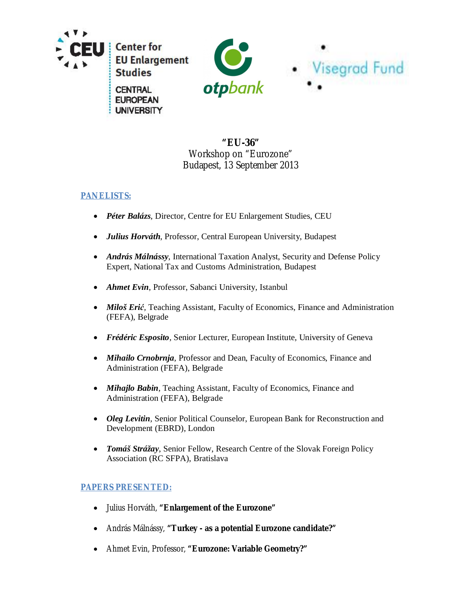

**UNIVERSITY** 



# **"EU-36"** Workshop on "Eurozone" Budapest, 13 September 2013

## **PANELISTS:**

- x *Péter Balázs*, Director, Centre for EU Enlargement Studies, CEU
- x *Julius Horváth*, Professor, Central European University, Budapest
- *András Málnássy*, International Taxation Analyst, Security and Defense Policy Expert, National Tax and Customs Administration, Budapest
- *Ahmet Evin*, Professor, Sabanci University, Istanbul
- *Miloš Erić*, Teaching Assistant, Faculty of Economics, Finance and Administration (FEFA), Belgrade
- x *Frédéric Esposito,* Senior Lecturer, European Institute, University of Geneva
- **•** *Mihailo Crnobrnja*, Professor and Dean, Faculty of Economics, Finance and Administration (FEFA), Belgrade
- *Mihajlo Babin*, Teaching Assistant, Faculty of Economics, Finance and Administration (FEFA), Belgrade
- Oleg Levitin, Senior Political Counselor, European Bank for Reconstruction and Development (EBRD), London
- *Tomáš Strážay*, Senior Fellow, Research Centre of the Slovak Foreign Policy Association (RC SFPA), Bratislava

### **PAPERS PRESENTED:**

- x Julius Horváth, **"Enlargement of the Eurozone"**
- x András Málnássy, **"Turkey as a potential Eurozone candidate?"**
- x Ahmet Evin, Professor, **"Eurozone: Variable Geometry?"**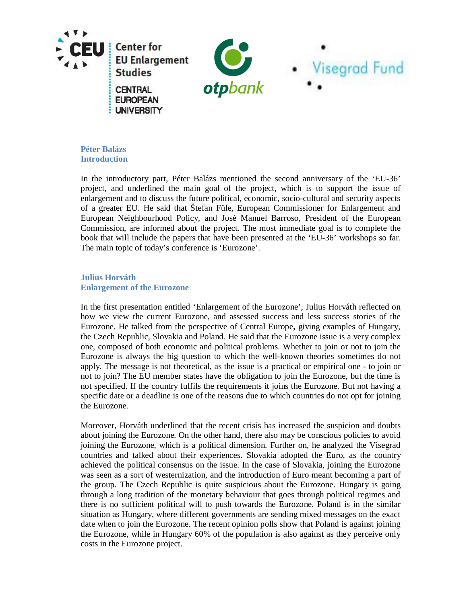

### **Péter Balázs Introduction**

In the introductory part, Péter Balázs mentioned the second anniversary of the 'EU-36' project, and underlined the main goal of the project, which is to support the issue of enlargement and to discuss the future political, economic, socio-cultural and security aspects of a greater EU. He said that Štefan Füle, European Commissioner for Enlargement and European Neighbourhood Policy, and José Manuel Barroso, President of the European Commission, are informed about the project. The most immediate goal is to complete the book that will include the papers that have been presented at the 'EU-36' workshops so far. The main topic of today's conference is 'Eurozone'.

#### **Julius Horváth Enlargement of the Eurozone**

In the first presentation entitled 'Enlargement of the Eurozone', Julius Horváth reflected on how we view the current Eurozone, and assessed success and less success stories of the Eurozone. He talked from the perspective of Central Europe**,** giving examples of Hungary, the Czech Republic, Slovakia and Poland. He said that the Eurozone issue is a very complex one, composed of both economic and political problems. Whether to join or not to join the Eurozone is always the big question to which the well-known theories sometimes do not apply. The message is not theoretical, as the issue is a practical or empirical one - to join or not to join? The EU member states have the obligation to join the Eurozone, but the time is not specified. If the country fulfils the requirements it joins the Eurozone. But not having a specific date or a deadline is one of the reasons due to which countries do not opt for joining the Eurozone.

Moreover, Horváth underlined that the recent crisis has increased the suspicion and doubts about joining the Eurozone. On the other hand, there also may be conscious policies to avoid joining the Eurozone, which is a political dimension. Further on, he analyzed the Visegrad countries and talked about their experiences. Slovakia adopted the Euro, as the country achieved the political consensus on the issue. In the case of Slovakia, joining the Eurozone was seen as a sort of westernization, and the introduction of Euro meant becoming a part of the group. The Czech Republic is quite suspicious about the Eurozone. Hungary is going through a long tradition of the monetary behaviour that goes through political regimes and there is no sufficient political will to push towards the Eurozone. Poland is in the similar situation as Hungary, where different governments are sending mixed messages on the exact date when to join the Eurozone. The recent opinion polls show that Poland is against joining the Eurozone, while in Hungary 60% of the population is also against as they perceive only costs in the Eurozone project.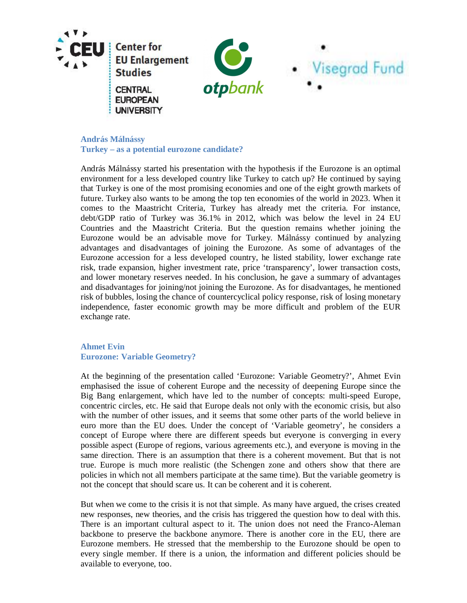

**András Málnássy Turkey – as a potential eurozone candidate?**

András Málnássy started his presentation with the hypothesis if the Eurozone is an optimal environment for a less developed country like Turkey to catch up? He continued by saying that Turkey is one of the most promising economies and one of the eight growth markets of future. Turkey also wants to be among the top ten economies of the world in 2023. When it comes to the Maastricht Criteria, Turkey has already met the criteria. For instance, debt/GDP ratio of Turkey was 36.1% in 2012, which was below the level in 24 EU Countries and the Maastricht Criteria. But the question remains whether joining the Eurozone would be an advisable move for Turkey. Málnássy continued by analyzing advantages and disadvantages of joining the Eurozone. As some of advantages of the Eurozone accession for a less developed country, he listed stability, lower exchange rate risk, trade expansion, higher investment rate, price 'transparency', lower transaction costs, and lower monetary reserves needed. In his conclusion, he gave a summary of advantages and disadvantages for joining/not joining the Eurozone. As for disadvantages, he mentioned risk of bubbles, losing the chance of countercyclical policy response, risk of losing monetary independence, faster economic growth may be more difficult and problem of the EUR exchange rate.

#### **Ahmet Evin Eurozone: Variable Geometry?**

At the beginning of the presentation called 'Eurozone: Variable Geometry?', Ahmet Evin emphasised the issue of coherent Europe and the necessity of deepening Europe since the Big Bang enlargement, which have led to the number of concepts: multi-speed Europe, concentric circles, etc. He said that Europe deals not only with the economic crisis, but also with the number of other issues, and it seems that some other parts of the world believe in euro more than the EU does. Under the concept of 'Variable geometry', he considers a concept of Europe where there are different speeds but everyone is converging in every possible aspect (Europe of regions, various agreements etc.), and everyone is moving in the same direction. There is an assumption that there is a coherent movement. But that is not true. Europe is much more realistic (the Schengen zone and others show that there are policies in which not all members participate at the same time). But the variable geometry is not the concept that should scare us. It can be coherent and it is coherent.

But when we come to the crisis it is not that simple. As many have argued, the crises created new responses, new theories, and the crisis has triggered the question how to deal with this. There is an important cultural aspect to it. The union does not need the Franco-Aleman backbone to preserve the backbone anymore. There is another core in the EU, there are Eurozone members. He stressed that the membership to the Eurozone should be open to every single member. If there is a union, the information and different policies should be available to everyone, too.